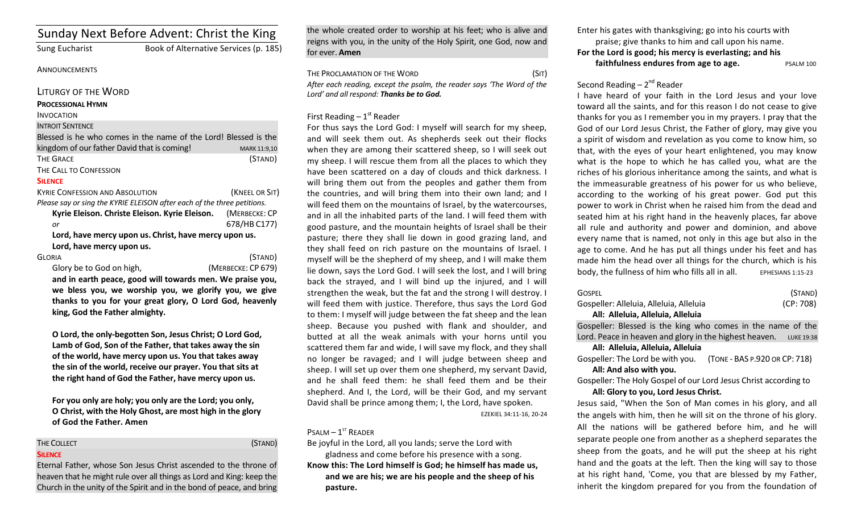# Sunday Next Before Advent: Christ the King

Sung Eucharist Book of Alternative Services (p. 185)

### **ANNOUNCEMENTS**

| LITURGY OF THE WORD      |  |
|--------------------------|--|
| <b>PROCESSIONAL HYMN</b> |  |
| <b>INVOCATION</b>        |  |
| I <sub>1</sub>           |  |

 $L = L = 0.687$ 

#### **INTROIT SENTENCE**

| Blessed is he who comes in the name of the Lord! Blessed is the         |                |
|-------------------------------------------------------------------------|----------------|
| kingdom of our father David that is coming!                             | MARK 11:9,10   |
| <b>THE GRACE</b>                                                        | (STAND)        |
| THE CALL TO CONFESSION                                                  |                |
| <b>SILENCE</b>                                                          |                |
| <b>KYRIE CONFESSION AND ABSOLUTION</b>                                  | (KNEEL OR SIT) |
| Please say or sing the KYRIE ELEISON after each of the three petitions. |                |
| Kyrie Eleison. Christe Eleison. Kyrie Eleison.                          | (MERBECKE: CP  |
| or                                                                      | 678/HB C177)   |
| Lord, have mercy upon us. Christ, have mercy upon us.                   |                |
|                                                                         |                |

## Lord, have mercy upon us.

| Gloria                                                                                                         | (STAND)            |
|----------------------------------------------------------------------------------------------------------------|--------------------|
| Glory be to God on high,                                                                                       | (MERBECKE: CP 679) |
| the different contracts of the contract of the contracts of the contracts of the contracts of the contracts of |                    |

and in earth peace, good will towards men. We praise you, we bless you, we worship you, we glorify you, we give thanks to you for your great glory, O Lord God, heavenly king, God the Father almighty.

**O** Lord, the only-begotten Son, Jesus Christ; O Lord God, Lamb of God, Son of the Father, that takes away the sin of the world, have mercy upon us. You that takes away the sin of the world, receive our prayer. You that sits at the right hand of God the Father, have mercy upon us.

For you only are holy; you only are the Lord; you only, **O** Christ, with the Holy Ghost, are most high in the glory **of God the Father. Amen**

### THE COLLECT **THE COLLECT COLLECT COLLECT COLLECT COLLECT COLLECT COLLECT COLLECT COLLECT**

**SILENCE**

Eternal Father, whose Son Jesus Christ ascended to the throne of heaven that he might rule over all things as Lord and King: keep the Church in the unity of the Spirit and in the bond of peace, and bring the whole created order to worship at his feet; who is alive and reigns with you, in the unity of the Holy Spirit, one God, now and for ever. **Amen** 

THE PROCLAMATION OF THE WORD (SIT) After each reading, except the psalm, the reader says 'The Word of the Lord' and all respond: Thanks be to God.

### First Reading  $-1<sup>st</sup>$  Reader

For thus says the Lord God: I myself will search for my sheep, and will seek them out. As shepherds seek out their flocks when they are among their scattered sheep, so I will seek out my sheep. I will rescue them from all the places to which they have been scattered on a day of clouds and thick darkness. I will bring them out from the peoples and gather them from the countries, and will bring them into their own land; and I will feed them on the mountains of Israel, by the watercourses, and in all the inhabited parts of the land. I will feed them with good pasture, and the mountain heights of Israel shall be their pasture; there they shall lie down in good grazing land, and they shall feed on rich pasture on the mountains of Israel. I myself will be the shepherd of my sheep, and I will make them lie down, says the Lord God. I will seek the lost, and I will bring back the strayed, and I will bind up the injured, and I will strengthen the weak, but the fat and the strong I will destroy. I will feed them with justice. Therefore, thus says the Lord God to them: I myself will judge between the fat sheep and the lean sheep. Because you pushed with flank and shoulder, and butted at all the weak animals with your horns until you scattered them far and wide, I will save my flock, and they shall no longer be ravaged; and I will judge between sheep and sheep. I will set up over them one shepherd, my servant David, and he shall feed them: he shall feed them and be their shepherd. And I, the Lord, will be their God, and my servant David shall be prince among them; I, the Lord, have spoken. EZEKIEL 34:11-16, 20-24

## $P$ SALM –  $1<sup>ST</sup>$  READER

Be joyful in the Lord, all you lands; serve the Lord with gladness and come before his presence with a song. Know this: The Lord himself is God; he himself has made us, and we are his; we are his people and the sheep of his **pasture.** 

Enter his gates with thanksgiving; go into his courts with praise; give thanks to him and call upon his name.

# For the Lord is good; his mercy is everlasting; and his

**faithfulness endures from age to age.** PSALM 100

Second Reading  $- 2<sup>nd</sup>$  Reader

I have heard of your faith in the Lord Jesus and your love toward all the saints, and for this reason I do not cease to give thanks for you as I remember you in my prayers. I pray that the God of our Lord Jesus Christ, the Father of glory, may give you a spirit of wisdom and revelation as you come to know him, so that, with the eyes of your heart enlightened, you may know what is the hope to which he has called you, what are the riches of his glorious inheritance among the saints, and what is the immeasurable greatness of his power for us who believe, according to the working of his great power. God put this power to work in Christ when he raised him from the dead and seated him at his right hand in the heavenly places, far above all rule and authority and power and dominion, and above every name that is named, not only in this age but also in the age to come. And he has put all things under his feet and has made him the head over all things for the church, which is his body, the fullness of him who fills all in all.  $E$  EPHESIANS 1:15-23

| <b>GOSPEL</b>                                                     | (STAND)   |
|-------------------------------------------------------------------|-----------|
| Gospeller: Alleluia, Alleluia, Alleluia                           | (CP: 708) |
| All: Alleluia, Alleluia, Alleluia                                 |           |
| Gospeller: Blessed is the king who comes in the name of the       |           |
| Lord. Peace in heaven and glory in the highest heaven. LUKE 19:38 |           |
| All: Alleluia, Alleluia, Alleluia                                 |           |
| (TONE - BAS P.920 OR CP: 718)<br>Gospeller: The Lord be with you. |           |
| All: And also with you.                                           |           |
| Gospeller: The Holy Gospel of our Lord Jesus Christ according to  |           |
| All: Glory to you, Lord Jesus Christ.                             |           |
| Jesus said, "When the Son of Man comes in his glory, and all      |           |
| the angels with him, then he will sit on the throne of his glory. |           |

All the nations will be gathered before him, and he will separate people one from another as a shepherd separates the sheep from the goats, and he will put the sheep at his right hand and the goats at the left. Then the king will say to those at his right hand, 'Come, you that are blessed by my Father, inherit the kingdom prepared for you from the foundation of